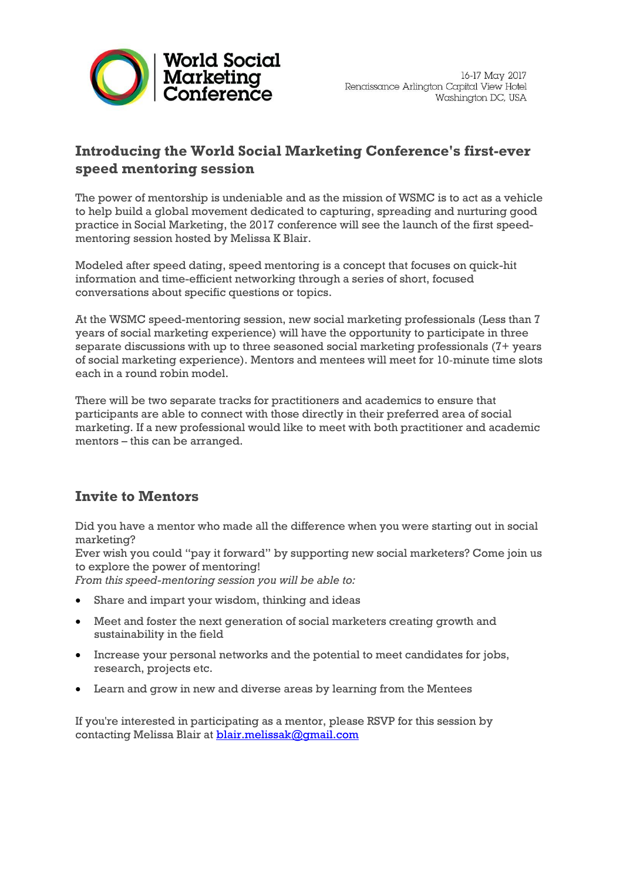

## **Introducing the World Social Marketing Conference's first-ever speed mentoring session**

The power of mentorship is undeniable and as the mission of WSMC is to act as a vehicle to help build a global movement dedicated to capturing, spreading and nurturing good practice in Social Marketing, the 2017 conference will see the launch of the first speedmentoring session hosted by Melissa K Blair.

Modeled after speed dating, speed mentoring is a concept that focuses on quick-hit information and time-efficient networking through a series of short, focused conversations about specific questions or topics.

At the WSMC speed-mentoring session, new social marketing professionals (Less than 7 years of social marketing experience) will have the opportunity to participate in three separate discussions with up to three seasoned social marketing professionals (7+ years of social marketing experience). Mentors and mentees will meet for 10‐minute time slots each in a round robin model.

There will be two separate tracks for practitioners and academics to ensure that participants are able to connect with those directly in their preferred area of social marketing. If a new professional would like to meet with both practitioner and academic mentors – this can be arranged.

## **Invite to Mentors**

Did you have a mentor who made all the difference when you were starting out in social marketing?

Ever wish you could "pay it forward" by supporting new social marketers? Come join us to explore the power of mentoring!

*From this speed-mentoring session you will be able to:*

- Share and impart your wisdom, thinking and ideas
- Meet and foster the next generation of social marketers creating growth and sustainability in the field
- Increase your personal networks and the potential to meet candidates for jobs, research, projects etc.
- Learn and grow in new and diverse areas by learning from the Mentees

If you're interested in participating as a mentor, please RSVP for this session by contacting Melissa Blair at **[blair.melissak@gmail.com](mailto:blair.melissak@gmail.com)**